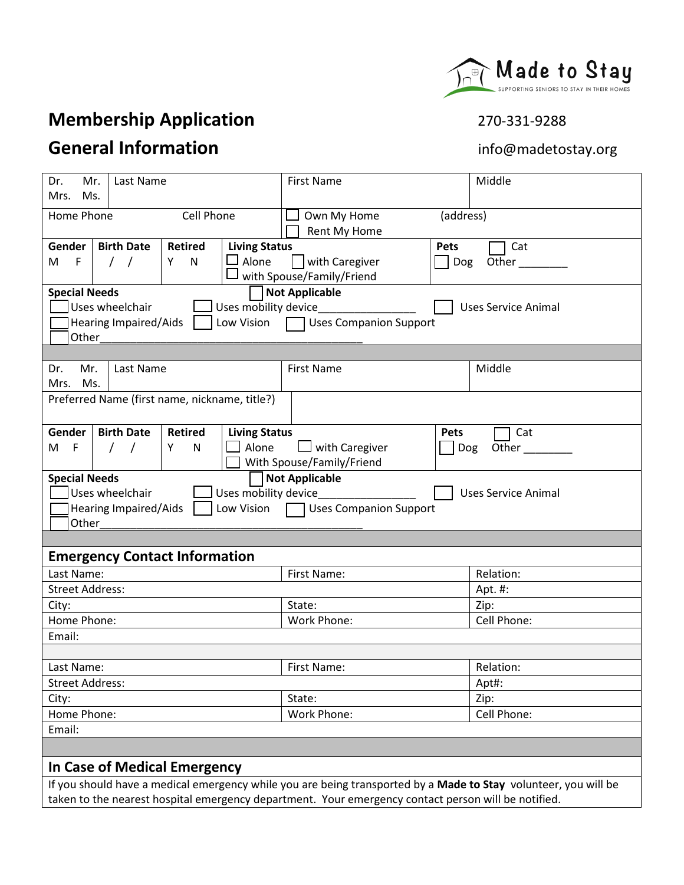# **Membership Application** 270-331-9288

# **General Information information info@madetostay.org**

| Mr.<br>Last Name<br>Dr.<br>Mrs.<br>Ms.                                                                                                                                                                         | <b>First Name</b>                                                                 | Middle                     |  |
|----------------------------------------------------------------------------------------------------------------------------------------------------------------------------------------------------------------|-----------------------------------------------------------------------------------|----------------------------|--|
| Cell Phone<br>Home Phone<br>Own My Home<br>(address)<br>Rent My Home                                                                                                                                           |                                                                                   |                            |  |
| <b>Living Status</b><br><b>Birth Date</b><br><b>Retired</b><br>Gender  <br>Alone<br>$\Box$<br>$\mathsf{F}$<br>$\sqrt{ }$<br>Y<br>N<br>м<br>$\sqrt{2}$                                                          | <b>Pets</b><br>with Caregiver<br>$\mathbf{I}$<br>Dog<br>with Spouse/Family/Friend | Cat<br>Other_              |  |
| <b>Not Applicable</b><br><b>Special Needs</b><br>Uses wheelchair<br>Uses mobility device<br><b>Uses Service Animal</b><br><b>Hearing Impaired/Aids</b><br>Low Vision<br><b>Uses Companion Support</b><br>Other |                                                                                   |                            |  |
|                                                                                                                                                                                                                |                                                                                   |                            |  |
| Mr.<br>Last Name<br>Dr.<br>Mrs.<br>Ms.                                                                                                                                                                         | <b>First Name</b>                                                                 | Middle                     |  |
| Preferred Name (first name, nickname, title?)                                                                                                                                                                  |                                                                                   |                            |  |
| <b>Living Status</b><br>Gender<br><b>Birth Date</b><br><b>Retired</b><br>Alone<br>F<br>$\prime$<br>${\sf N}$<br>M<br>$\prime$<br>Y                                                                             | <b>Pets</b><br>with Caregiver<br>Dog<br>With Spouse/Family/Friend                 | Cat<br>Other               |  |
| <b>Special Needs</b><br>Uses wheelchair<br>Uses mobility device<br>Low Vision<br>Hearing Impaired/Aids<br>Other                                                                                                | <b>Not Applicable</b><br><b>Uses Companion Support</b>                            | <b>Uses Service Animal</b> |  |
|                                                                                                                                                                                                                |                                                                                   |                            |  |
| <b>Emergency Contact Information</b>                                                                                                                                                                           |                                                                                   |                            |  |
| Last Name:                                                                                                                                                                                                     | First Name:                                                                       | Relation:                  |  |
| <b>Street Address:</b>                                                                                                                                                                                         |                                                                                   | Apt. #:                    |  |
| City:                                                                                                                                                                                                          | State:                                                                            | Zip:                       |  |
| Home Phone:                                                                                                                                                                                                    | Work Phone:                                                                       | Cell Phone:                |  |
| Email:                                                                                                                                                                                                         |                                                                                   |                            |  |
|                                                                                                                                                                                                                |                                                                                   |                            |  |
| Last Name:                                                                                                                                                                                                     | First Name:                                                                       | Relation:                  |  |
| <b>Street Address:</b>                                                                                                                                                                                         |                                                                                   | Apt#:                      |  |
| City:                                                                                                                                                                                                          | State:                                                                            | Zip:                       |  |
| Home Phone:                                                                                                                                                                                                    | Work Phone:                                                                       | Cell Phone:                |  |
| Email:                                                                                                                                                                                                         |                                                                                   |                            |  |
|                                                                                                                                                                                                                |                                                                                   |                            |  |
| In Case of Medical Emergency                                                                                                                                                                                   |                                                                                   |                            |  |
|                                                                                                                                                                                                                |                                                                                   |                            |  |

If you should have a medical emergency while you are being transported by a **Made to Stay** volunteer, you will be taken to the nearest hospital emergency department. Your emergency contact person will be notified.

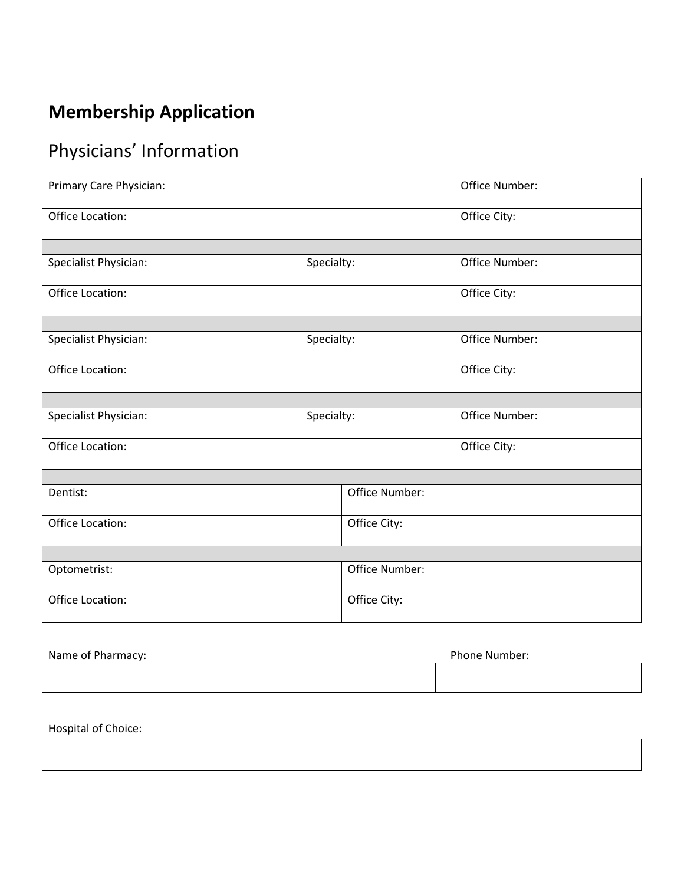# **Membership Application**

# Physicians' Information

| Primary Care Physician: |            |                | Office Number: |
|-------------------------|------------|----------------|----------------|
| Office Location:        |            | Office City:   |                |
|                         |            |                |                |
| Specialist Physician:   | Specialty: |                | Office Number: |
| Office Location:        |            | Office City:   |                |
|                         |            |                |                |
| Specialist Physician:   | Specialty: |                | Office Number: |
| Office Location:        |            | Office City:   |                |
|                         |            |                |                |
| Specialist Physician:   | Specialty: |                | Office Number: |
| Office Location:        |            | Office City:   |                |
|                         |            |                |                |
| Dentist:                |            | Office Number: |                |
| Office Location:        |            | Office City:   |                |
|                         |            |                |                |
| Optometrist:            |            | Office Number: |                |
| Office Location:        |            | Office City:   |                |
|                         |            |                |                |

| Name of Pharmacy: | Phone Number: |
|-------------------|---------------|
|                   |               |
|                   |               |

Hospital of Choice: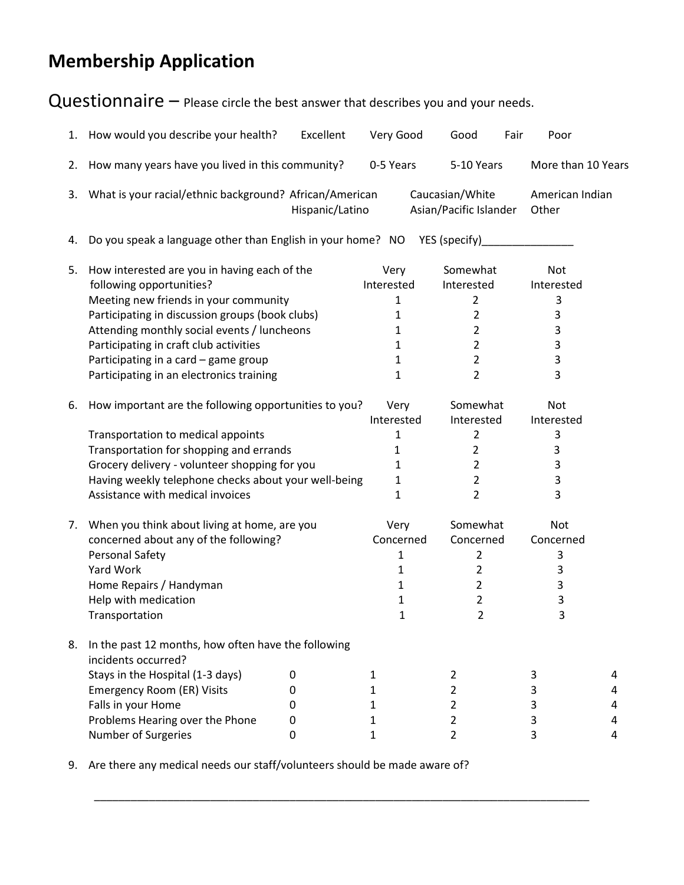# **Membership Application**

Questionnaire – Please circle the best answer that describes you and your needs.

|    | 1. How would you describe your health?                                                                                                                                                                                                                                                                                                            | Excellent       | Very Good                                                                    | Good                                                                                               | Fair<br>Poor                                           |                       |
|----|---------------------------------------------------------------------------------------------------------------------------------------------------------------------------------------------------------------------------------------------------------------------------------------------------------------------------------------------------|-----------------|------------------------------------------------------------------------------|----------------------------------------------------------------------------------------------------|--------------------------------------------------------|-----------------------|
| 2. | How many years have you lived in this community?                                                                                                                                                                                                                                                                                                  |                 | 0-5 Years                                                                    | 5-10 Years                                                                                         | More than 10 Years                                     |                       |
| 3. | What is your racial/ethnic background? African/American                                                                                                                                                                                                                                                                                           | Hispanic/Latino |                                                                              | Caucasian/White<br>Asian/Pacific Islander                                                          | American Indian<br>Other                               |                       |
| 4. | Do you speak a language other than English in your home? NO YES (specify)                                                                                                                                                                                                                                                                         |                 |                                                                              |                                                                                                    |                                                        |                       |
| 5. | How interested are you in having each of the<br>following opportunities?<br>Meeting new friends in your community<br>Participating in discussion groups (book clubs)<br>Attending monthly social events / luncheons<br>Participating in craft club activities<br>Participating in a card - game group<br>Participating in an electronics training |                 | Very<br>Interested<br>1<br>1<br>1<br>1<br>1<br>$\mathbf{1}$                  | Somewhat<br>Interested<br>2<br>$\overline{2}$<br>2<br>$\overline{2}$<br>$\overline{2}$<br>2        | <b>Not</b><br>Interested<br>3<br>3<br>3<br>3<br>3<br>3 |                       |
| 6. | How important are the following opportunities to you?<br>Transportation to medical appoints<br>Transportation for shopping and errands<br>Grocery delivery - volunteer shopping for you<br>Having weekly telephone checks about your well-being<br>Assistance with medical invoices                                                               |                 | Very<br>Interested<br>1<br>$\mathbf{1}$<br>1<br>$\mathbf{1}$<br>$\mathbf{1}$ | Somewhat<br>Interested<br>2<br>$\overline{2}$<br>$\overline{2}$<br>$\overline{2}$<br>2             | <b>Not</b><br>Interested<br>3<br>3<br>3<br>3<br>3      |                       |
| 7. | When you think about living at home, are you<br>concerned about any of the following?<br>Personal Safety<br>Yard Work<br>Home Repairs / Handyman<br>Help with medication<br>Transportation                                                                                                                                                        |                 | Very<br>Concerned<br>1<br>1<br>$\mathbf{1}$<br>1<br>1                        | Somewhat<br>Concerned<br>2<br>$\overline{2}$<br>$\overline{2}$<br>$\overline{2}$<br>$\overline{2}$ | Not<br>Concerned<br>3<br>3<br>3<br>3<br>3              |                       |
| 8. | In the past 12 months, how often have the following<br>incidents occurred?<br>Stays in the Hospital (1-3 days)<br>0<br>Emergency Room (ER) Visits<br>0<br>Falls in your Home<br>0<br>Problems Hearing over the Phone<br>0<br>Number of Surgeries<br>0                                                                                             |                 | $\mathbf{1}$<br>1<br>$\mathbf{1}$<br>1<br>$\mathbf{1}$                       | $\overline{2}$<br>$\overline{2}$<br>2<br>$\overline{2}$<br>$\overline{2}$                          | 3<br>3<br>3<br>3<br>3                                  | 4<br>4<br>4<br>4<br>4 |

9. Are there any medical needs our staff/volunteers should be made aware of?

\_\_\_\_\_\_\_\_\_\_\_\_\_\_\_\_\_\_\_\_\_\_\_\_\_\_\_\_\_\_\_\_\_\_\_\_\_\_\_\_\_\_\_\_\_\_\_\_\_\_\_\_\_\_\_\_\_\_\_\_\_\_\_\_\_\_\_\_\_\_\_\_\_\_\_\_\_\_\_\_\_